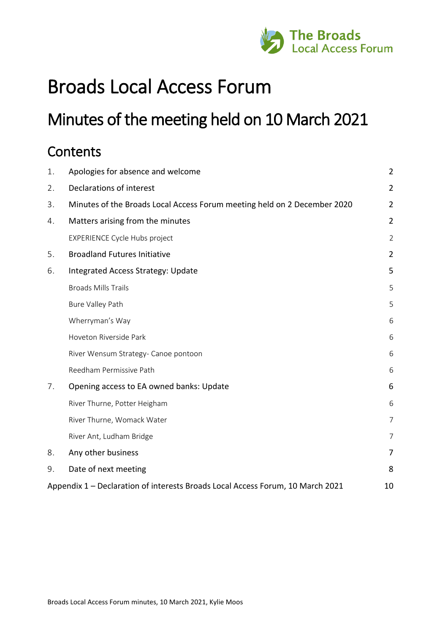

# Broads Local Access Forum

# Minutes of the meeting held on 10 March 2021

# **Contents**

| 1. | Apologies for absence and welcome                                              | $\overline{2}$ |
|----|--------------------------------------------------------------------------------|----------------|
| 2. | Declarations of interest                                                       | $\overline{2}$ |
| 3. | Minutes of the Broads Local Access Forum meeting held on 2 December 2020       | $\overline{2}$ |
| 4. | Matters arising from the minutes                                               | $\overline{2}$ |
|    | <b>EXPERIENCE Cycle Hubs project</b>                                           | $\overline{2}$ |
| 5. | <b>Broadland Futures Initiative</b>                                            | $\overline{2}$ |
| 6. | Integrated Access Strategy: Update                                             | 5              |
|    | <b>Broads Mills Trails</b>                                                     | 5              |
|    | <b>Bure Valley Path</b>                                                        | 5              |
|    | Wherryman's Way                                                                | 6              |
|    | Hoveton Riverside Park                                                         | 6              |
|    | River Wensum Strategy- Canoe pontoon                                           | 6              |
|    | Reedham Permissive Path                                                        | 6              |
| 7. | Opening access to EA owned banks: Update                                       | 6              |
|    | River Thurne, Potter Heigham                                                   | 6              |
|    | River Thurne, Womack Water                                                     | 7              |
|    | River Ant, Ludham Bridge                                                       | 7              |
| 8. | Any other business                                                             | 7              |
| 9. | Date of next meeting                                                           | 8              |
|    | Appendix 1 – Declaration of interests Broads Local Access Forum, 10 March 2021 | 10             |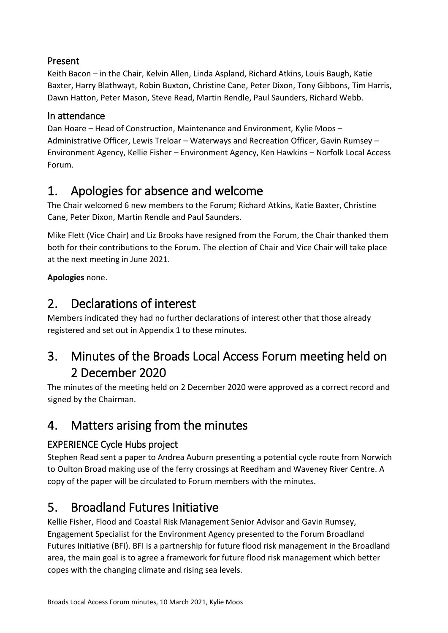### Present

Keith Bacon – in the Chair, Kelvin Allen, Linda Aspland, Richard Atkins, Louis Baugh, Katie Baxter, Harry Blathwayt, Robin Buxton, Christine Cane, Peter Dixon, Tony Gibbons, Tim Harris, Dawn Hatton, Peter Mason, Steve Read, Martin Rendle, Paul Saunders, Richard Webb.

### In attendance

Dan Hoare – Head of Construction, Maintenance and Environment, Kylie Moos – Administrative Officer, Lewis Treloar – Waterways and Recreation Officer, Gavin Rumsey – Environment Agency, Kellie Fisher – Environment Agency, Ken Hawkins – Norfolk Local Access Forum.

# <span id="page-1-0"></span>1. Apologies for absence and welcome

The Chair welcomed 6 new members to the Forum; Richard Atkins, Katie Baxter, Christine Cane, Peter Dixon, Martin Rendle and Paul Saunders.

Mike Flett (Vice Chair) and Liz Brooks have resigned from the Forum, the Chair thanked them both for their contributions to the Forum. The election of Chair and Vice Chair will take place at the next meeting in June 2021.

**Apologies** none.

# <span id="page-1-1"></span>2. Declarations of interest

Members indicated they had no further declarations of interest other that those already registered and set out in Appendix 1 to these minutes.

# <span id="page-1-2"></span>3. Minutes of the Broads Local Access Forum meeting held on 2 December 2020

The minutes of the meeting held on 2 December 2020 were approved as a correct record and signed by the Chairman.

# <span id="page-1-3"></span>4. Matters arising from the minutes

### <span id="page-1-4"></span>EXPERIENCE Cycle Hubs project

Stephen Read sent a paper to Andrea Auburn presenting a potential cycle route from Norwich to Oulton Broad making use of the ferry crossings at Reedham and Waveney River Centre. A copy of the paper will be circulated to Forum members with the minutes.

# <span id="page-1-5"></span>5. Broadland Futures Initiative

Kellie Fisher, Flood and Coastal Risk Management Senior Advisor and Gavin Rumsey, Engagement Specialist for the Environment Agency presented to the Forum Broadland Futures Initiative (BFI). BFI is a partnership for future flood risk management in the Broadland area, the main goal is to agree a framework for future flood risk management which better copes with the changing climate and rising sea levels.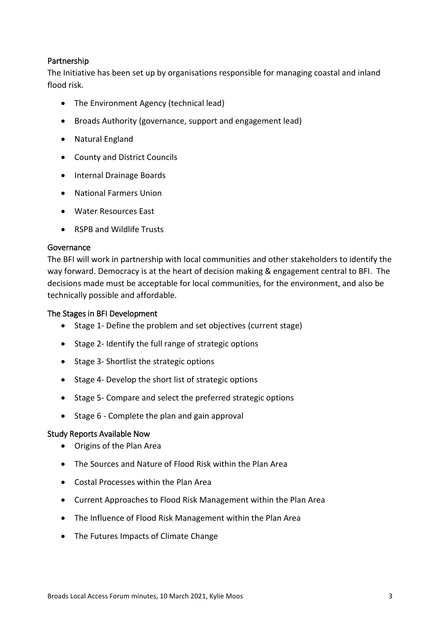#### Partnership

The Initiative has been set up by organisations responsible for managing coastal and inland flood risk.

- The Environment Agency (technical lead)
- Broads Authority (governance, support and engagement lead)
- Natural England
- County and District Councils
- Internal Drainage Boards
- National Farmers Union
- Water Resources East
- RSPB and Wildlife Trusts

#### Governance

The BFI will work in partnership with local communities and other stakeholders to identify the way forward. Democracy is at the heart of decision making & engagement central to BFI. The decisions made must be acceptable for local communities, for the environment, and also be technically possible and affordable.

#### The Stages in BFI Development

- Stage 1- Define the problem and set objectives (current stage)
- Stage 2- Identify the full range of strategic options
- Stage 3- Shortlist the strategic options
- Stage 4- Develop the short list of strategic options
- Stage 5- Compare and select the preferred strategic options
- Stage 6 Complete the plan and gain approval

#### Study Reports Available Now

- Origins of the Plan Area
- The Sources and Nature of Flood Risk within the Plan Area
- Costal Processes within the Plan Area
- Current Approaches to Flood Risk Management within the Plan Area
- The Influence of Flood Risk Management within the Plan Area
- The Futures Impacts of Climate Change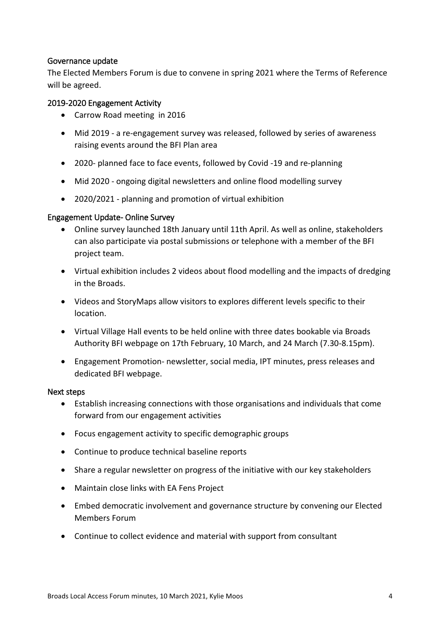#### Governance update

The Elected Members Forum is due to convene in spring 2021 where the Terms of Reference will be agreed.

#### 2019-2020 Engagement Activity

- Carrow Road meeting in 2016
- Mid 2019 a re-engagement survey was released, followed by series of awareness raising events around the BFI Plan area
- 2020- planned face to face events, followed by Covid -19 and re-planning
- Mid 2020 ongoing digital newsletters and online flood modelling survey
- 2020/2021 planning and promotion of virtual exhibition

#### Engagement Update- Online Survey

- Online survey launched 18th January until 11th April. As well as online, stakeholders can also participate via postal submissions or telephone with a member of the BFI project team.
- Virtual exhibition includes 2 videos about flood modelling and the impacts of dredging in the Broads.
- Videos and StoryMaps allow visitors to explores different levels specific to their location.
- Virtual Village Hall events to be held online with three dates bookable via Broads Authority BFI webpage on 17th February, 10 March, and 24 March (7.30-8.15pm).
- Engagement Promotion- newsletter, social media, IPT minutes, press releases and dedicated BFI webpage.

#### Next steps

- Establish increasing connections with those organisations and individuals that come forward from our engagement activities
- Focus engagement activity to specific demographic groups
- Continue to produce technical baseline reports
- Share a regular newsletter on progress of the initiative with our key stakeholders
- Maintain close links with EA Fens Project
- Embed democratic involvement and governance structure by convening our Elected Members Forum
- Continue to collect evidence and material with support from consultant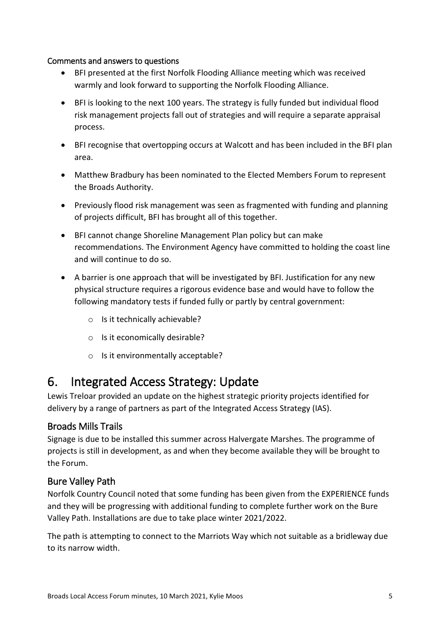#### Comments and answers to questions

- BFI presented at the first Norfolk Flooding Alliance meeting which was received warmly and look forward to supporting the Norfolk Flooding Alliance.
- BFI is looking to the next 100 years. The strategy is fully funded but individual flood risk management projects fall out of strategies and will require a separate appraisal process.
- BFI recognise that overtopping occurs at Walcott and has been included in the BFI plan area.
- Matthew Bradbury has been nominated to the Elected Members Forum to represent the Broads Authority.
- Previously flood risk management was seen as fragmented with funding and planning of projects difficult, BFI has brought all of this together.
- BFI cannot change Shoreline Management Plan policy but can make recommendations. The Environment Agency have committed to holding the coast line and will continue to do so.
- A barrier is one approach that will be investigated by BFI. Justification for any new physical structure requires a rigorous evidence base and would have to follow the following mandatory tests if funded fully or partly by central government:
	- o Is it technically achievable?
	- o Is it economically desirable?
	- o Is it environmentally acceptable?

## <span id="page-4-0"></span>6. Integrated Access Strategy: Update

Lewis Treloar provided an update on the highest strategic priority projects identified for delivery by a range of partners as part of the Integrated Access Strategy (IAS).

### <span id="page-4-1"></span>Broads Mills Trails

Signage is due to be installed this summer across Halvergate Marshes. The programme of projects is still in development, as and when they become available they will be brought to the Forum.

### <span id="page-4-2"></span>Bure Valley Path

Norfolk Country Council noted that some funding has been given from the EXPERIENCE funds and they will be progressing with additional funding to complete further work on the Bure Valley Path. Installations are due to take place winter 2021/2022.

The path is attempting to connect to the Marriots Way which not suitable as a bridleway due to its narrow width.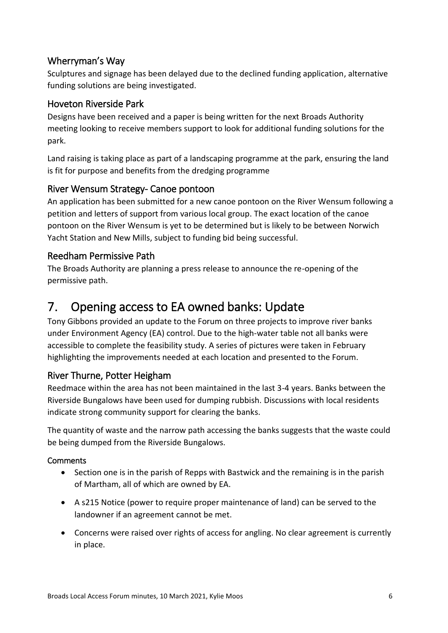### <span id="page-5-0"></span>Wherryman's Way

Sculptures and signage has been delayed due to the declined funding application, alternative funding solutions are being investigated.

### <span id="page-5-1"></span>Hoveton Riverside Park

Designs have been received and a paper is being written for the next Broads Authority meeting looking to receive members support to look for additional funding solutions for the park.

Land raising is taking place as part of a landscaping programme at the park, ensuring the land is fit for purpose and benefits from the dredging programme

#### <span id="page-5-2"></span>River Wensum Strategy- Canoe pontoon

An application has been submitted for a new canoe pontoon on the River Wensum following a petition and letters of support from various local group. The exact location of the canoe pontoon on the River Wensum is yet to be determined but is likely to be between Norwich Yacht Station and New Mills, subject to funding bid being successful.

#### <span id="page-5-3"></span>Reedham Permissive Path

The Broads Authority are planning a press release to announce the re-opening of the permissive path.

## <span id="page-5-4"></span>7. Opening access to EA owned banks: Update

Tony Gibbons provided an update to the Forum on three projects to improve river banks under Environment Agency (EA) control. Due to the high-water table not all banks were accessible to complete the feasibility study. A series of pictures were taken in February highlighting the improvements needed at each location and presented to the Forum.

### <span id="page-5-5"></span>River Thurne, Potter Heigham

Reedmace within the area has not been maintained in the last 3-4 years. Banks between the Riverside Bungalows have been used for dumping rubbish. Discussions with local residents indicate strong community support for clearing the banks.

The quantity of waste and the narrow path accessing the banks suggests that the waste could be being dumped from the Riverside Bungalows.

#### **Comments**

- Section one is in the parish of Repps with Bastwick and the remaining is in the parish of Martham, all of which are owned by EA.
- A s215 Notice (power to require proper maintenance of land) can be served to the landowner if an agreement cannot be met.
- Concerns were raised over rights of access for angling. No clear agreement is currently in place.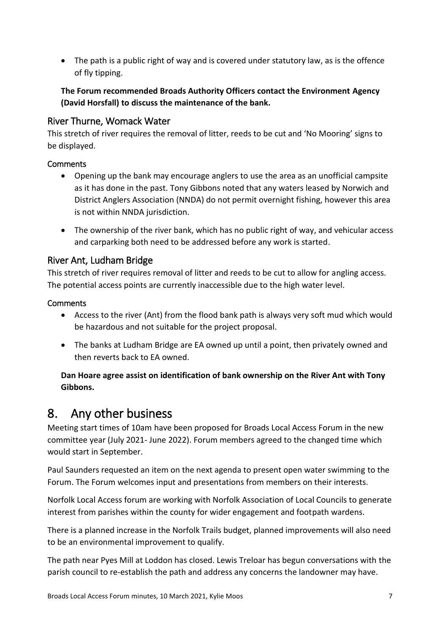• The path is a public right of way and is covered under statutory law, as is the offence of fly tipping.

**The Forum recommended Broads Authority Officers contact the Environment Agency (David Horsfall) to discuss the maintenance of the bank.**

### <span id="page-6-0"></span>River Thurne, Womack Water

This stretch of river requires the removal of litter, reeds to be cut and 'No Mooring' signs to be displayed.

### **Comments**

- Opening up the bank may encourage anglers to use the area as an unofficial campsite as it has done in the past. Tony Gibbons noted that any waters leased by Norwich and District Anglers Association (NNDA) do not permit overnight fishing, however this area is not within NNDA jurisdiction.
- The ownership of the river bank, which has no public right of way, and vehicular access and carparking both need to be addressed before any work is started.

### <span id="page-6-1"></span>River Ant, Ludham Bridge

This stretch of river requires removal of litter and reeds to be cut to allow for angling access. The potential access points are currently inaccessible due to the high water level.

#### **Comments**

- Access to the river (Ant) from the flood bank path is always very soft mud which would be hazardous and not suitable for the project proposal.
- The banks at Ludham Bridge are EA owned up until a point, then privately owned and then reverts back to EA owned.

### **Dan Hoare agree assist on identification of bank ownership on the River Ant with Tony Gibbons.**

## <span id="page-6-2"></span>8. Any other business

Meeting start times of 10am have been proposed for Broads Local Access Forum in the new committee year (July 2021- June 2022). Forum members agreed to the changed time which would start in September.

Paul Saunders requested an item on the next agenda to present open water swimming to the Forum. The Forum welcomes input and presentations from members on their interests.

Norfolk Local Access forum are working with Norfolk Association of Local Councils to generate interest from parishes within the county for wider engagement and footpath wardens.

There is a planned increase in the Norfolk Trails budget, planned improvements will also need to be an environmental improvement to qualify.

The path near Pyes Mill at Loddon has closed. Lewis Treloar has begun conversations with the parish council to re-establish the path and address any concerns the landowner may have.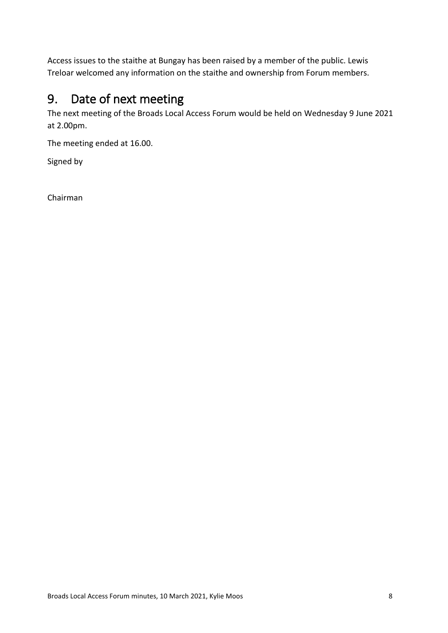Access issues to the staithe at Bungay has been raised by a member of the public. Lewis Treloar welcomed any information on the staithe and ownership from Forum members.

# <span id="page-7-0"></span>9. Date of next meeting

The next meeting of the Broads Local Access Forum would be held on Wednesday 9 June 2021 at 2.00pm.

The meeting ended at 16.00.

Signed by

Chairman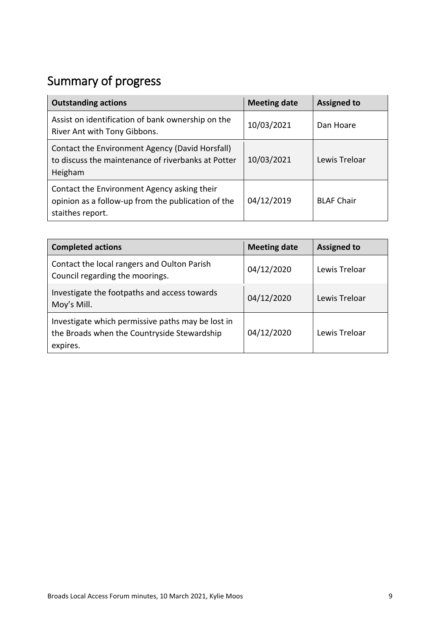# Summary of progress

| <b>Outstanding actions</b>                                                                                            | <b>Meeting date</b> | <b>Assigned to</b> |
|-----------------------------------------------------------------------------------------------------------------------|---------------------|--------------------|
| Assist on identification of bank ownership on the<br>River Ant with Tony Gibbons.                                     | 10/03/2021          | Dan Hoare          |
| Contact the Environment Agency (David Horsfall)<br>to discuss the maintenance of riverbanks at Potter<br>Heigham      | 10/03/2021          | Lewis Treloar      |
| Contact the Environment Agency asking their<br>opinion as a follow-up from the publication of the<br>staithes report. | 04/12/2019          | <b>BLAF Chair</b>  |

| <b>Completed actions</b>                                                                                     | <b>Meeting date</b> | <b>Assigned to</b> |
|--------------------------------------------------------------------------------------------------------------|---------------------|--------------------|
| Contact the local rangers and Oulton Parish<br>Council regarding the moorings.                               | 04/12/2020          | Lewis Treloar      |
| Investigate the footpaths and access towards<br>Moy's Mill.                                                  | 04/12/2020          | Lewis Treloar      |
| Investigate which permissive paths may be lost in<br>the Broads when the Countryside Stewardship<br>expires. | 04/12/2020          | Lewis Treloar      |